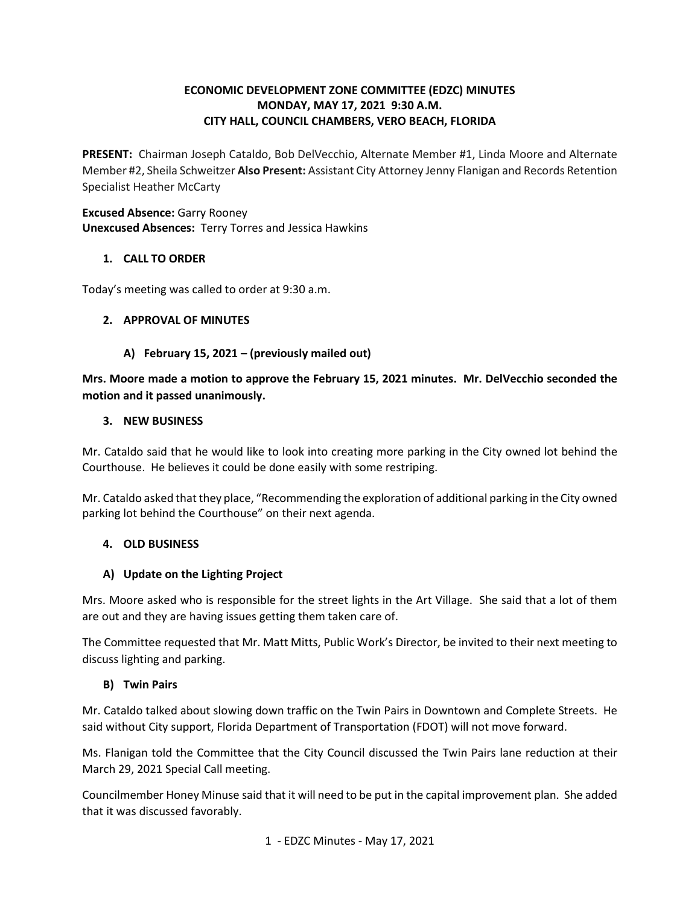# **ECONOMIC DEVELOPMENT ZONE COMMITTEE (EDZC) MINUTES MONDAY, MAY 17, 2021 9:30 A.M. CITY HALL, COUNCIL CHAMBERS, VERO BEACH, FLORIDA**

 **PRESENT:** Chairman Joseph Cataldo, Bob DelVecchio, Alternate Member #1, Linda Moore and Alternate Member #2, Sheila Schweitzer **Also Present:** Assistant City Attorney Jenny Flanigan and Records Retention Specialist Heather McCarty

**Excused Absence:** Garry Rooney **Unexcused Absences:** Terry Torres and Jessica Hawkins

## **1. CALL TO ORDER**

Today's meeting was called to order at 9:30 a.m.

## **2. APPROVAL OF MINUTES**

## **A) February 15, 2021 – (previously mailed out)**

**Mrs. Moore made a motion to approve the February 15, 2021 minutes. Mr. DelVecchio seconded the motion and it passed unanimously.** 

#### **3. NEW BUSINESS**

 Mr. Cataldo said that he would like to look into creating more parking in the City owned lot behind the Courthouse. He believes it could be done easily with some restriping.

 Mr. Cataldo asked that they place, "Recommending the exploration of additional parking in the City owned parking lot behind the Courthouse" on their next agenda.

#### **4. OLD BUSINESS**

#### **A) Update on the Lighting Project**

 are out and they are having issues getting them taken care of. Mrs. Moore asked who is responsible for the street lights in the Art Village. She said that a lot of them

 The Committee requested that Mr. Matt Mitts, Public Work's Director, be invited to their next meeting to discuss lighting and parking.

#### **B) Twin Pairs**

 Mr. Cataldo talked about slowing down traffic on the Twin Pairs in Downtown and Complete Streets. He said without City support, Florida Department of Transportation (FDOT) will not move forward.

said without City support, Florida Department of Transportation (FDOT) will not move forward.<br>Ms. Flanigan told the Committee that the City Council discussed the Twin Pairs lane reduction at their March 29, 2021 Special Call meeting.

 that it was discussed favorably. 1 - EDZC Minutes - May 17, 2021 March 29, 2021 Special Call meeting.<br>Councilmember Honey Minuse said that it will need to be put in the capital improvement plan. She added that it was discussed favorably.